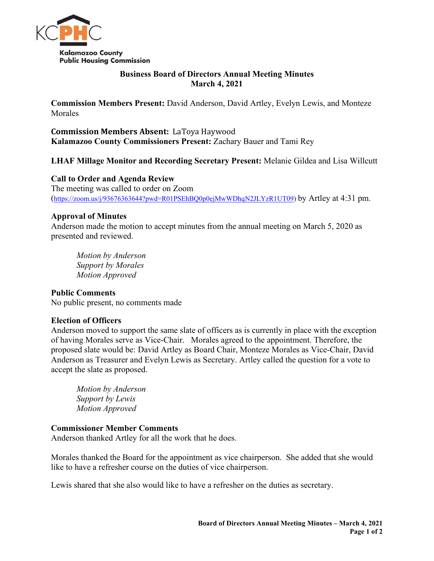

### **Business Board of Directors Annual Meeting Minutes March 4, 2021**

**Commission Members Present:** David Anderson, David Artley, Evelyn Lewis, and Monteze Morales

**Commission Members Absent:** LaToya Haywood **Kalamazoo County Commissioners Present:** Zachary Bauer and Tami Rey

# **LHAF Millage Monitor and Recording Secretary Present:** Melanie Gildea and Lisa Willcutt

## **Call to Order and Agenda Review**

The meeting was called to order on Zoom [\(https://zoom.us/j/93676363644?pwd=R01PSEhBQ0p0ejMwWDhqN2JLYzR1UT09\)](https://zoom.us/j/93676363644?pwd=R01PSEhBQ0p0ejMwWDhqN2JLYzR1UT09) by Artley at 4:31 pm.

### **Approval of Minutes**

Anderson made the motion to accept minutes from the annual meeting on March 5, 2020 as presented and reviewed.

*Motion by Anderson Support by Morales Motion Approved*

## **Public Comments**

No public present, no comments made

### **Election of Officers**

Anderson moved to support the same slate of officers as is currently in place with the exception of having Morales serve as Vice-Chair. Morales agreed to the appointment. Therefore, the proposed slate would be: David Artley as Board Chair, Monteze Morales as Vice-Chair, David Anderson as Treasurer and Evelyn Lewis as Secretary. Artley called the question for a vote to accept the slate as proposed.

*Motion by Anderson Support by Lewis Motion Approved*

#### **Commissioner Member Comments**

Anderson thanked Artley for all the work that he does.

Morales thanked the Board for the appointment as vice chairperson. She added that she would like to have a refresher course on the duties of vice chairperson.

Lewis shared that she also would like to have a refresher on the duties as secretary.